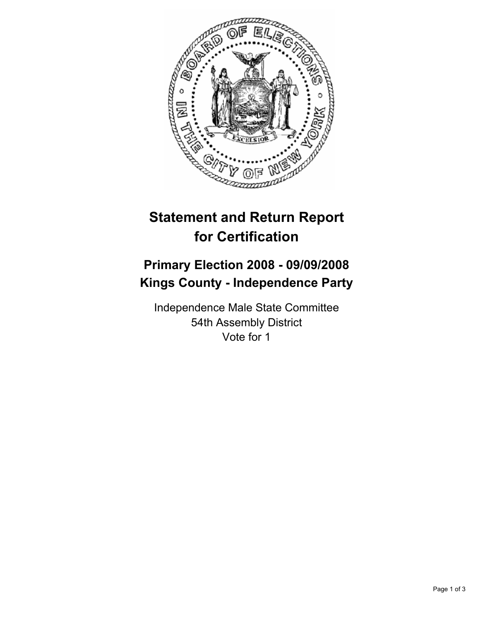

## **Statement and Return Report for Certification**

## **Primary Election 2008 - 09/09/2008 Kings County - Independence Party**

Independence Male State Committee 54th Assembly District Vote for 1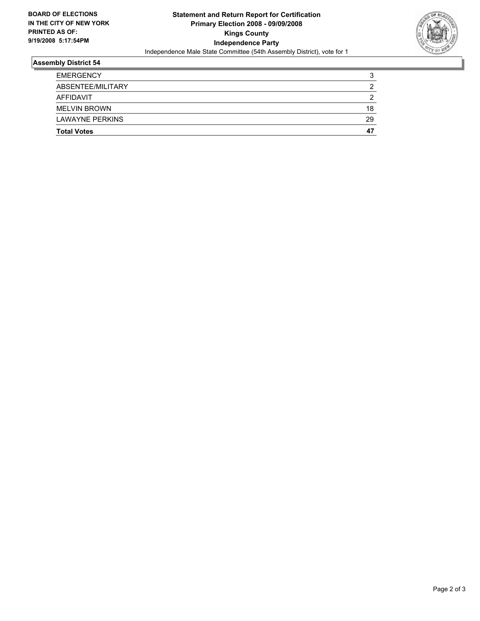

## **Assembly District 54**

| <b>Total Votes</b>     | 47 |
|------------------------|----|
| <b>LAWAYNE PERKINS</b> | 29 |
| <b>MELVIN BROWN</b>    | 18 |
| <b>AFFIDAVIT</b>       |    |
| ABSENTEE/MILITARY      |    |
| <b>EMERGENCY</b>       |    |